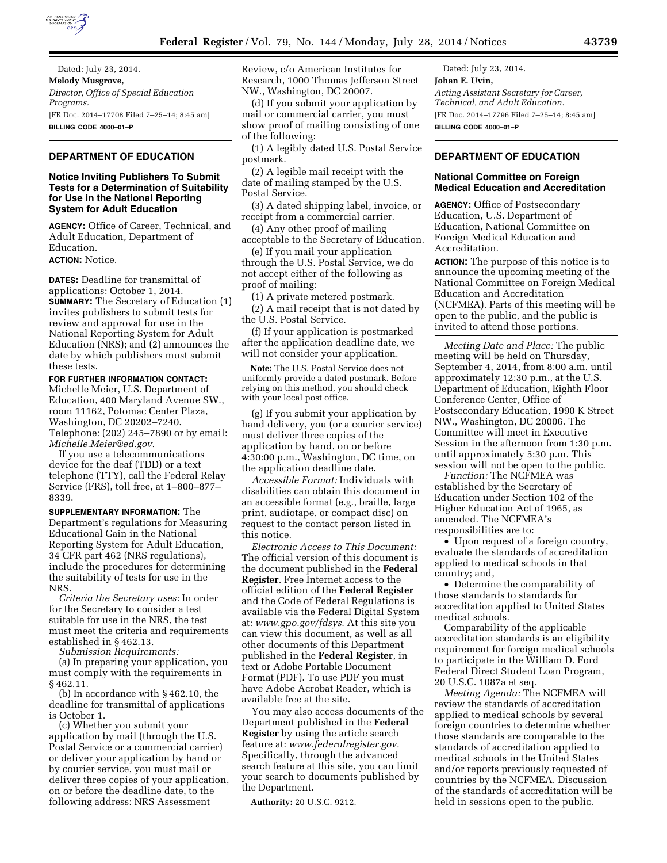

Dated: July 23, 2014. **Melody Musgrove,**  *Director, Office of Special Education Programs.*  [FR Doc. 2014–17708 Filed 7–25–14; 8:45 am] **BILLING CODE 4000–01–P** 

## **DEPARTMENT OF EDUCATION**

## **Notice Inviting Publishers To Submit Tests for a Determination of Suitability for Use in the National Reporting System for Adult Education**

**AGENCY:** Office of Career, Technical, and Adult Education, Department of Education.

## **ACTION:** Notice.

**DATES:** Deadline for transmittal of applications: October 1, 2014. **SUMMARY:** The Secretary of Education (1) invites publishers to submit tests for review and approval for use in the National Reporting System for Adult Education (NRS); and (2) announces the date by which publishers must submit these tests.

**FOR FURTHER INFORMATION CONTACT:**  Michelle Meier, U.S. Department of Education, 400 Maryland Avenue SW., room 11162, Potomac Center Plaza, Washington, DC 20202–7240. Telephone: (202) 245–7890 or by email: *[Michelle.Meier@ed.gov](mailto:Michelle.Meier@ed.gov)*.

If you use a telecommunications device for the deaf (TDD) or a text telephone (TTY), call the Federal Relay Service (FRS), toll free, at 1–800–877– 8339.

**SUPPLEMENTARY INFORMATION:** The Department's regulations for Measuring Educational Gain in the National Reporting System for Adult Education, 34 CFR part 462 (NRS regulations), include the procedures for determining the suitability of tests for use in the NRS.

*Criteria the Secretary uses:* In order for the Secretary to consider a test suitable for use in the NRS, the test must meet the criteria and requirements established in § 462.13.

*Submission Requirements:* 

(a) In preparing your application, you must comply with the requirements in § 462.11.

(b) In accordance with § 462.10, the deadline for transmittal of applications is October 1.

(c) Whether you submit your application by mail (through the U.S. Postal Service or a commercial carrier) or deliver your application by hand or by courier service, you must mail or deliver three copies of your application, on or before the deadline date, to the following address: NRS Assessment

Review, c/o American Institutes for Research, 1000 Thomas Jefferson Street NW., Washington, DC 20007.

(d) If you submit your application by mail or commercial carrier, you must show proof of mailing consisting of one of the following:

(1) A legibly dated U.S. Postal Service postmark.

(2) A legible mail receipt with the date of mailing stamped by the U.S. Postal Service.

(3) A dated shipping label, invoice, or receipt from a commercial carrier.

(4) Any other proof of mailing acceptable to the Secretary of Education.

(e) If you mail your application through the U.S. Postal Service, we do not accept either of the following as proof of mailing:

(1) A private metered postmark. (2) A mail receipt that is not dated by the U.S. Postal Service.

(f) If your application is postmarked after the application deadline date, we will not consider your application.

**Note:** The U.S. Postal Service does not uniformly provide a dated postmark. Before relying on this method, you should check with your local post office.

(g) If you submit your application by hand delivery, you (or a courier service) must deliver three copies of the application by hand, on or before 4:30:00 p.m., Washington, DC time, on the application deadline date.

*Accessible Format:* Individuals with disabilities can obtain this document in an accessible format (e.g., braille, large print, audiotape, or compact disc) on request to the contact person listed in this notice.

*Electronic Access to This Document:*  The official version of this document is the document published in the **Federal Register**. Free Internet access to the official edition of the **Federal Register**  and the Code of Federal Regulations is available via the Federal Digital System at: *[www.gpo.gov/fdsys](http://www.gpo.gov/fdsys)*. At this site you can view this document, as well as all other documents of this Department published in the **Federal Register**, in text or Adobe Portable Document Format (PDF). To use PDF you must have Adobe Acrobat Reader, which is available free at the site.

You may also access documents of the Department published in the **Federal Register** by using the article search feature at: *[www.federalregister.gov.](http://www.federalregister.gov)*  Specifically, through the advanced search feature at this site, you can limit your search to documents published by the Department.

**Authority:** 20 U.S.C. 9212.

Dated: July 23, 2014. **Johan E. Uvin,**  *Acting Assistant Secretary for Career, Technical, and Adult Education.*  [FR Doc. 2014–17796 Filed 7–25–14; 8:45 am] **BILLING CODE 4000–01–P** 

# **DEPARTMENT OF EDUCATION**

### **National Committee on Foreign Medical Education and Accreditation**

**AGENCY:** Office of Postsecondary Education, U.S. Department of Education, National Committee on Foreign Medical Education and Accreditation.

**ACTION:** The purpose of this notice is to announce the upcoming meeting of the National Committee on Foreign Medical Education and Accreditation (NCFMEA). Parts of this meeting will be open to the public, and the public is invited to attend those portions.

*Meeting Date and Place:* The public meeting will be held on Thursday, September 4, 2014, from 8:00 a.m. until approximately 12:30 p.m., at the U.S. Department of Education, Eighth Floor Conference Center, Office of Postsecondary Education, 1990 K Street NW., Washington, DC 20006. The Committee will meet in Executive Session in the afternoon from 1:30 p.m. until approximately 5:30 p.m. This session will not be open to the public.

*Function:* The NCFMEA was established by the Secretary of Education under Section 102 of the Higher Education Act of 1965, as amended. The NCFMEA's responsibilities are to:

• Upon request of a foreign country, evaluate the standards of accreditation applied to medical schools in that country; and,

• Determine the comparability of those standards to standards for accreditation applied to United States medical schools.

Comparability of the applicable accreditation standards is an eligibility requirement for foreign medical schools to participate in the William D. Ford Federal Direct Student Loan Program, 20 U.S.C. 1087a et seq.

*Meeting Agenda:* The NCFMEA will review the standards of accreditation applied to medical schools by several foreign countries to determine whether those standards are comparable to the standards of accreditation applied to medical schools in the United States and/or reports previously requested of countries by the NCFMEA. Discussion of the standards of accreditation will be held in sessions open to the public.